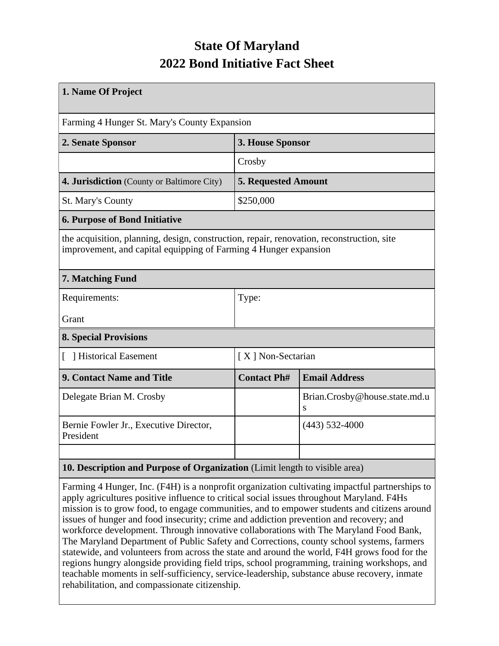# **State Of Maryland 2022 Bond Initiative Fact Sheet**

| 1. Name Of Project                                                                                                                                            |                            |                                    |  |  |  |  |
|---------------------------------------------------------------------------------------------------------------------------------------------------------------|----------------------------|------------------------------------|--|--|--|--|
| Farming 4 Hunger St. Mary's County Expansion                                                                                                                  |                            |                                    |  |  |  |  |
| 2. Senate Sponsor                                                                                                                                             | 3. House Sponsor           |                                    |  |  |  |  |
|                                                                                                                                                               | Crosby                     |                                    |  |  |  |  |
| 4. Jurisdiction (County or Baltimore City)                                                                                                                    | <b>5. Requested Amount</b> |                                    |  |  |  |  |
| St. Mary's County                                                                                                                                             | \$250,000                  |                                    |  |  |  |  |
| 6. Purpose of Bond Initiative                                                                                                                                 |                            |                                    |  |  |  |  |
| the acquisition, planning, design, construction, repair, renovation, reconstruction, site<br>improvement, and capital equipping of Farming 4 Hunger expansion |                            |                                    |  |  |  |  |
| 7. Matching Fund                                                                                                                                              |                            |                                    |  |  |  |  |
| Requirements:                                                                                                                                                 | Type:                      |                                    |  |  |  |  |
| Grant                                                                                                                                                         |                            |                                    |  |  |  |  |
| <b>8. Special Provisions</b>                                                                                                                                  |                            |                                    |  |  |  |  |
| Historical Easement                                                                                                                                           | [X] Non-Sectarian          |                                    |  |  |  |  |
| <b>9. Contact Name and Title</b>                                                                                                                              | <b>Contact Ph#</b>         | <b>Email Address</b>               |  |  |  |  |
| Delegate Brian M. Crosby                                                                                                                                      |                            | Brian.Crosby@house.state.md.u<br>S |  |  |  |  |
| Bernie Fowler Jr., Executive Director,<br>President                                                                                                           |                            | $(443)$ 532-4000                   |  |  |  |  |
| 10 December and Drumese of Queenigation (Limit Langth to visible error)                                                                                       |                            |                                    |  |  |  |  |

## **10. Description and Purpose of Organization** (Limit length to visible area)

Farming 4 Hunger, Inc. (F4H) is a nonprofit organization cultivating impactful partnerships to apply agricultures positive influence to critical social issues throughout Maryland. F4Hs mission is to grow food, to engage communities, and to empower students and citizens around issues of hunger and food insecurity; crime and addiction prevention and recovery; and workforce development. Through innovative collaborations with The Maryland Food Bank, The Maryland Department of Public Safety and Corrections, county school systems, farmers statewide, and volunteers from across the state and around the world, F4H grows food for the regions hungry alongside providing field trips, school programming, training workshops, and teachable moments in self-sufficiency, service-leadership, substance abuse recovery, inmate rehabilitation, and compassionate citizenship.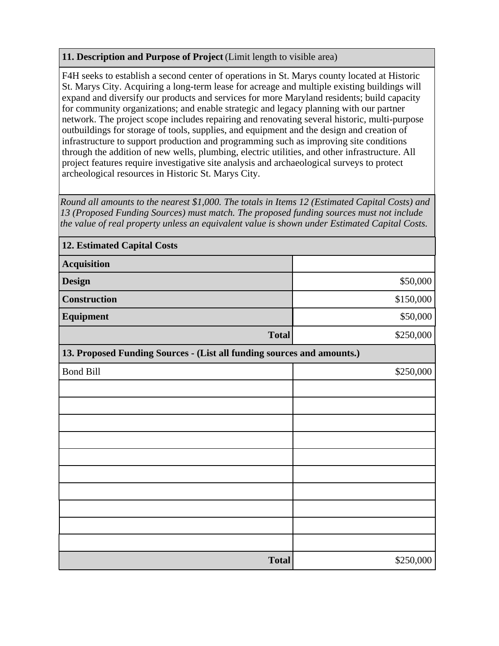### **11. Description and Purpose of Project** (Limit length to visible area)

F4H seeks to establish a second center of operations in St. Marys county located at Historic St. Marys City. Acquiring a long-term lease for acreage and multiple existing buildings will expand and diversify our products and services for more Maryland residents; build capacity for community organizations; and enable strategic and legacy planning with our partner network. The project scope includes repairing and renovating several historic, multi-purpose outbuildings for storage of tools, supplies, and equipment and the design and creation of infrastructure to support production and programming such as improving site conditions through the addition of new wells, plumbing, electric utilities, and other infrastructure. All project features require investigative site analysis and archaeological surveys to protect archeological resources in Historic St. Marys City.

*Round all amounts to the nearest \$1,000. The totals in Items 12 (Estimated Capital Costs) and 13 (Proposed Funding Sources) must match. The proposed funding sources must not include the value of real property unless an equivalent value is shown under Estimated Capital Costs.*

| <b>12. Estimated Capital Costs</b>                                     |           |  |  |  |  |
|------------------------------------------------------------------------|-----------|--|--|--|--|
| <b>Acquisition</b>                                                     |           |  |  |  |  |
| <b>Design</b>                                                          | \$50,000  |  |  |  |  |
| <b>Construction</b>                                                    | \$150,000 |  |  |  |  |
| Equipment                                                              | \$50,000  |  |  |  |  |
| <b>Total</b>                                                           | \$250,000 |  |  |  |  |
| 13. Proposed Funding Sources - (List all funding sources and amounts.) |           |  |  |  |  |
| <b>Bond Bill</b>                                                       | \$250,000 |  |  |  |  |
|                                                                        |           |  |  |  |  |
|                                                                        |           |  |  |  |  |
|                                                                        |           |  |  |  |  |
|                                                                        |           |  |  |  |  |
|                                                                        |           |  |  |  |  |
|                                                                        |           |  |  |  |  |
|                                                                        |           |  |  |  |  |
|                                                                        |           |  |  |  |  |
|                                                                        |           |  |  |  |  |
|                                                                        |           |  |  |  |  |
| <b>Total</b>                                                           | \$250,000 |  |  |  |  |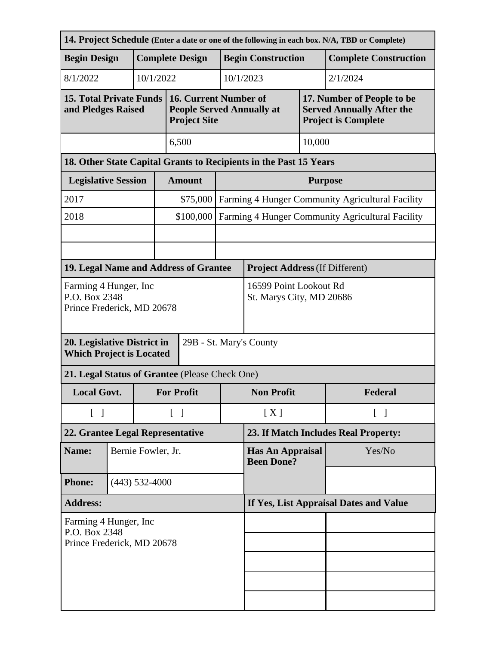| 14. Project Schedule (Enter a date or one of the following in each box. N/A, TBD or Complete) |  |                    |                    |                                                                                  |                                              |                                                  |                                       |                                                                                              |          |  |
|-----------------------------------------------------------------------------------------------|--|--------------------|--------------------|----------------------------------------------------------------------------------|----------------------------------------------|--------------------------------------------------|---------------------------------------|----------------------------------------------------------------------------------------------|----------|--|
| <b>Begin Design</b>                                                                           |  |                    |                    | <b>Complete Design</b><br><b>Begin Construction</b>                              |                                              |                                                  | <b>Complete Construction</b>          |                                                                                              |          |  |
| 8/1/2022                                                                                      |  | 10/1/2022          |                    |                                                                                  |                                              | 10/1/2023                                        |                                       |                                                                                              | 2/1/2024 |  |
| <b>15. Total Private Funds</b><br>and Pledges Raised                                          |  |                    |                    | 16. Current Number of<br><b>People Served Annually at</b><br><b>Project Site</b> |                                              |                                                  |                                       | 17. Number of People to be<br><b>Served Annually After the</b><br><b>Project is Complete</b> |          |  |
|                                                                                               |  |                    |                    | 6,500                                                                            |                                              | 10,000                                           |                                       |                                                                                              |          |  |
| 18. Other State Capital Grants to Recipients in the Past 15 Years                             |  |                    |                    |                                                                                  |                                              |                                                  |                                       |                                                                                              |          |  |
| <b>Legislative Session</b>                                                                    |  |                    |                    | <b>Amount</b>                                                                    |                                              | <b>Purpose</b>                                   |                                       |                                                                                              |          |  |
| 2017                                                                                          |  |                    |                    | \$75,000                                                                         |                                              | Farming 4 Hunger Community Agricultural Facility |                                       |                                                                                              |          |  |
| 2018                                                                                          |  |                    |                    | \$100,000                                                                        |                                              | Farming 4 Hunger Community Agricultural Facility |                                       |                                                                                              |          |  |
|                                                                                               |  |                    |                    |                                                                                  |                                              |                                                  |                                       |                                                                                              |          |  |
|                                                                                               |  |                    |                    |                                                                                  |                                              |                                                  |                                       |                                                                                              |          |  |
| 19. Legal Name and Address of Grantee                                                         |  |                    |                    |                                                                                  |                                              |                                                  | <b>Project Address (If Different)</b> |                                                                                              |          |  |
| Farming 4 Hunger, Inc<br>P.O. Box 2348<br>Prince Frederick, MD 20678                          |  |                    |                    | 16599 Point Lookout Rd<br>St. Marys City, MD 20686                               |                                              |                                                  |                                       |                                                                                              |          |  |
| 20. Legislative District in<br>29B - St. Mary's County<br><b>Which Project is Located</b>     |  |                    |                    |                                                                                  |                                              |                                                  |                                       |                                                                                              |          |  |
| 21. Legal Status of Grantee (Please Check One)                                                |  |                    |                    |                                                                                  |                                              |                                                  |                                       |                                                                                              |          |  |
| <b>Local Govt.</b>                                                                            |  |                    | <b>For Profit</b>  |                                                                                  | <b>Non Profit</b>                            |                                                  |                                       | Federal                                                                                      |          |  |
| $\begin{bmatrix} 1 \end{bmatrix}$                                                             |  |                    | $\lceil \; \rceil$ |                                                                                  |                                              | [X]<br>$\lceil \; \rceil$                        |                                       |                                                                                              |          |  |
| 22. Grantee Legal Representative                                                              |  |                    |                    | 23. If Match Includes Real Property:                                             |                                              |                                                  |                                       |                                                                                              |          |  |
| Name:                                                                                         |  | Bernie Fowler, Jr. |                    |                                                                                  | <b>Has An Appraisal</b><br><b>Been Done?</b> |                                                  | Yes/No                                |                                                                                              |          |  |
| <b>Phone:</b>                                                                                 |  | $(443)$ 532-4000   |                    |                                                                                  |                                              |                                                  |                                       |                                                                                              |          |  |
| <b>Address:</b>                                                                               |  |                    |                    | If Yes, List Appraisal Dates and Value                                           |                                              |                                                  |                                       |                                                                                              |          |  |
| Farming 4 Hunger, Inc.<br>P.O. Box 2348                                                       |  |                    |                    |                                                                                  |                                              |                                                  |                                       |                                                                                              |          |  |
| Prince Frederick, MD 20678                                                                    |  |                    |                    |                                                                                  |                                              |                                                  |                                       |                                                                                              |          |  |
|                                                                                               |  |                    |                    |                                                                                  |                                              |                                                  |                                       |                                                                                              |          |  |
|                                                                                               |  |                    |                    |                                                                                  |                                              |                                                  |                                       |                                                                                              |          |  |
|                                                                                               |  |                    |                    |                                                                                  |                                              |                                                  |                                       |                                                                                              |          |  |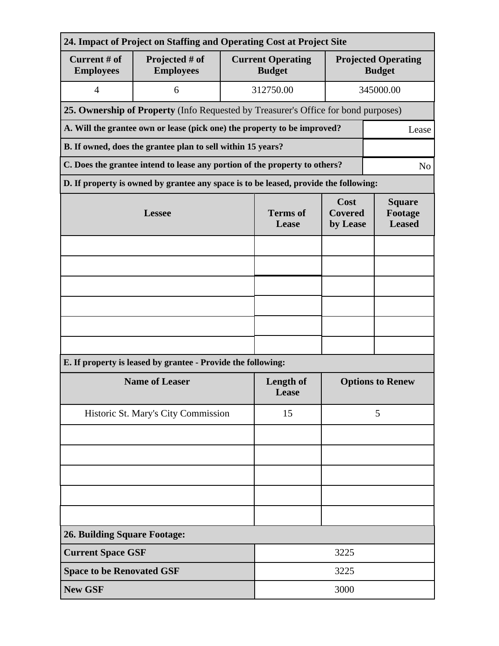| 24. Impact of Project on Staffing and Operating Cost at Project Site       |                                                                                      |                           |                                                                                 |                                             |           |  |  |  |
|----------------------------------------------------------------------------|--------------------------------------------------------------------------------------|---------------------------|---------------------------------------------------------------------------------|---------------------------------------------|-----------|--|--|--|
| Current # of<br><b>Employees</b>                                           | Projected # of<br><b>Employees</b>                                                   |                           | <b>Current Operating</b><br><b>Budget</b>                                       | <b>Projected Operating</b><br><b>Budget</b> |           |  |  |  |
| $\overline{4}$                                                             | 6                                                                                    |                           | 312750.00                                                                       |                                             | 345000.00 |  |  |  |
|                                                                            | 25. Ownership of Property (Info Requested by Treasurer's Office for bond purposes)   |                           |                                                                                 |                                             |           |  |  |  |
|                                                                            | A. Will the grantee own or lease (pick one) the property to be improved?<br>Lease    |                           |                                                                                 |                                             |           |  |  |  |
| B. If owned, does the grantee plan to sell within 15 years?                |                                                                                      |                           |                                                                                 |                                             |           |  |  |  |
| C. Does the grantee intend to lease any portion of the property to others? |                                                                                      |                           |                                                                                 |                                             |           |  |  |  |
|                                                                            | D. If property is owned by grantee any space is to be leased, provide the following: |                           |                                                                                 |                                             |           |  |  |  |
|                                                                            | <b>Lessee</b>                                                                        | <b>Terms</b> of<br>Lease  | Cost<br><b>Square</b><br><b>Covered</b><br>Footage<br><b>Leased</b><br>by Lease |                                             |           |  |  |  |
|                                                                            |                                                                                      |                           |                                                                                 |                                             |           |  |  |  |
|                                                                            |                                                                                      |                           |                                                                                 |                                             |           |  |  |  |
|                                                                            |                                                                                      |                           |                                                                                 |                                             |           |  |  |  |
|                                                                            |                                                                                      |                           |                                                                                 |                                             |           |  |  |  |
|                                                                            |                                                                                      |                           |                                                                                 |                                             |           |  |  |  |
|                                                                            |                                                                                      |                           |                                                                                 |                                             |           |  |  |  |
|                                                                            | E. If property is leased by grantee - Provide the following:                         |                           |                                                                                 |                                             |           |  |  |  |
|                                                                            | <b>Name of Leaser</b>                                                                | <b>Length of</b><br>Lease | <b>Options to Renew</b>                                                         |                                             |           |  |  |  |
|                                                                            | Historic St. Mary's City Commission                                                  | 15                        | 5                                                                               |                                             |           |  |  |  |
|                                                                            |                                                                                      |                           |                                                                                 |                                             |           |  |  |  |
|                                                                            |                                                                                      |                           |                                                                                 |                                             |           |  |  |  |
|                                                                            |                                                                                      |                           |                                                                                 |                                             |           |  |  |  |
|                                                                            |                                                                                      |                           |                                                                                 |                                             |           |  |  |  |
|                                                                            |                                                                                      |                           |                                                                                 |                                             |           |  |  |  |
| <b>26. Building Square Footage:</b>                                        |                                                                                      |                           |                                                                                 |                                             |           |  |  |  |
| <b>Current Space GSF</b>                                                   |                                                                                      |                           |                                                                                 | 3225                                        |           |  |  |  |
| <b>Space to be Renovated GSF</b>                                           |                                                                                      | 3225                      |                                                                                 |                                             |           |  |  |  |
| <b>New GSF</b>                                                             |                                                                                      |                           | 3000                                                                            |                                             |           |  |  |  |